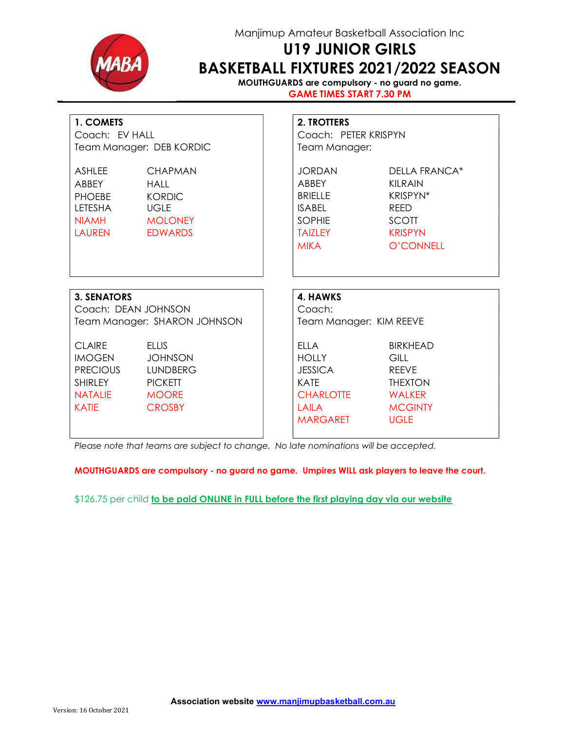

## Manjimup Amateur Basketball Association Inc

# U19 JUNIOR GIRLS BASKETBALL FIXTURES 2021/2022 SEASON

MOUTHGUARDS are compulsory - no guard no game. GAME TIMES START 7.30 PM

| 1. COMETS                                                                                       | Coach: EV HALL<br>Team Manager: DEB KORDIC                                                    |  | 2. TROTTERS<br>Coach: PETER KRISPYN<br>Team Manager:                                                         |                                                                                                            |  |
|-------------------------------------------------------------------------------------------------|-----------------------------------------------------------------------------------------------|--|--------------------------------------------------------------------------------------------------------------|------------------------------------------------------------------------------------------------------------|--|
| ASHI FF<br>ABBEY<br><b>PHOEBE</b><br>LETESHA<br><b>NIAMH</b><br>LAUREN EDWARDS                  | <b>CHAPMAN</b><br>HAII<br><b>KORDIC</b><br><b>UGLE</b><br><b>EXAMPLE MOLONEY</b>              |  | JORDAN<br>ABBFY<br><b>BRIFITE</b><br><b>ISABEL</b><br>SOPHIE<br>TAI7I FY<br><b>MIKA</b>                      | <b>DELLA FRANCA*</b><br>KII RAIN<br>KRISPYN*<br><b>REED</b><br><b>SCOTT</b><br><b>KRISPYN</b><br>O'CONNELL |  |
| <b>3. SENATORS</b><br>Coach: DEAN JOHNSON                                                       | Team Manager: SHARON JOHNSON                                                                  |  | 4. HAWKS<br>Coach:<br>Team Manager: KIM REEVE                                                                |                                                                                                            |  |
| <b>CLAIRE</b><br><b>IMOGEN</b><br><b>PRECIOUS</b><br>SHIRI FY<br><b>NATALIE</b><br><b>KATIE</b> | <b>ELLIS</b><br><b>JOHNSON</b><br>LUNDBERG<br><b>PICKETT</b><br><b>MOORE</b><br><b>CROSBY</b> |  | ELLA<br><b>HOLLY</b><br><b>JESSICA</b><br><b>KATE</b><br><b>CHARLOTTE</b><br><b>LAILA</b><br><b>MARGARET</b> | <b>BIRKHEAD</b><br>GILL<br><b>RFFVF</b><br><b>THEXTON</b><br>WALKER<br><b>MCGINTY</b><br><b>UGLE</b>       |  |

Please note that teams are subject to change. No late nominations will be accepted.

MOUTHGUARDS are compulsory - no guard no game. Umpires WILL ask players to leave the court.

\$126.75 per child to be paid ONLINE in FULL before the first playing day via our website